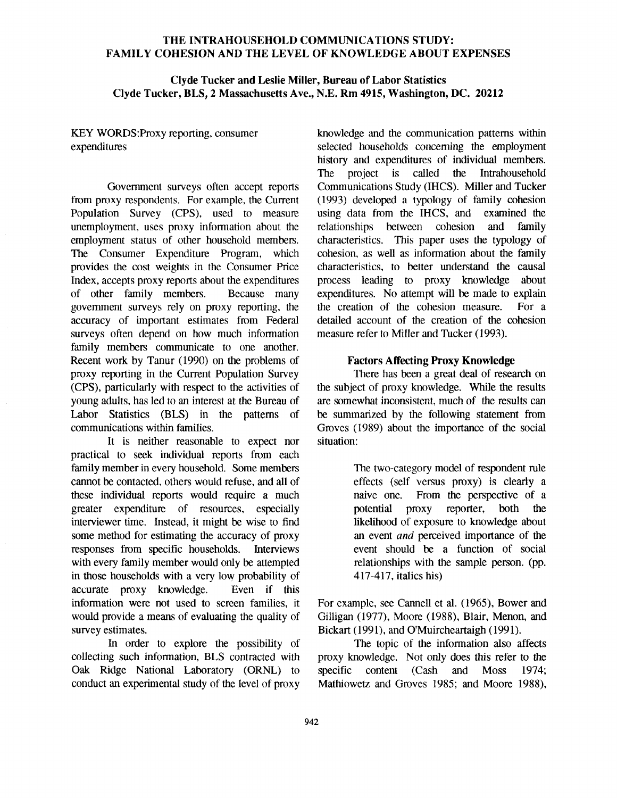### THE INTRAHOUSEHOLD COMMUNICATIONS STUDY: FAMILY COHESION AND THE LEVEL OF KNOWLEDGE ABOUT EXPENSES

## **Clyde Tucker and Leslie Miller, Bureau of Labor Statistics Clyde Tucker, BLS, 2 Massachusetts Ave., N.E. Rm 4915, Washington, DC. 20212**

# KEY WORDS:Proxy reporting, consumer expenditures

Government surveys often accept reports from proxy respondents. For example, the Current Population Survey (CPS), used to measure unemployment, uses proxy information about the employment status of other household members. The Consumer Expenditure Program, which provides the cost weights in the Consumer Price Index, accepts proxy reports about the expenditures of other family members. Because many govemment surveys rely on proxy reporting, the accuracy of important estimates from Federal surveys often depend on how much information family members communicate to one another. Recent work by Tanur (1990) on the problems of proxy reporting in the Current Population Survey (CPS), particularly with respect to the activities of young adults, has led to an interest at the Bureau of Labor Statistics (BLS) in the pattems of communications within families.

It is neither reasonable to expect nor practical to seek individual reports from each family member in every household. Some members cannot be contacted, others would refuse, and all of these individual reports would require a much greater expenditure of resources, especially interviewer time. Instead, it might be wise to find some method for estimating the accuracy of proxy responses from specific households. Interviews with every family member would only be attempted in those households with a very low probability of accurate proxy knowledge. Even if this information were not used to screen families, it would provide a means of evaluating the quality of survey estimates.

In order to explore the possibility of collecting such information, BLS contracted with Oak Ridge National Laboratory (ORNL) to conduct an experimental study of the level of proxy

knowledge and the communication pattems within selected households conceming the employment history and expenditures of individual members. The project is called the Intrahousehold Communications Study (IHCS). Miller and Tucker (1993) developed a typology of family cohesion using data from the IHCS, and examined the relationships between cohesion and family characteristics. This paper uses the typology of cohesion, as well as information about the family characteristics, to better understand the causal process leading to proxy knowledge about expenditures. No attempt will be made to explain the creation of the cohesion measure. For a detailed account of the creation of the cohesion measure refer to Miller and Tucker (1993).

## **Factors Affecting Proxy Knowledge**

There has been a great deal of research on the subject of proxy knowledge. While the results are somewhat inconsistent, much of the results can be summarized by the following statement from Groves (1989) about the importance of the social situation:

> The two-category model of respondent rule effects (self versus proxy) is clearly a naive one. From the perspective of a potential proxy reporter, both the likelihood of exposure to knowledge about an event *and* perceived importance of the event should be a function of social relationships with the sample person. (pp. 417-417, italics his)

For example, see Cannell et al. (1965), Bower and Gilligan (1977), Moore (1988), Blair, Menon, and Bickart (1991), and O'Muircheartaigh (1991).

The topic of the information also affects proxy knowledge. Not only does this refer to the specific content (Cash and Moss 1974; Mathiowetz and Groves 1985; and Moore 1988),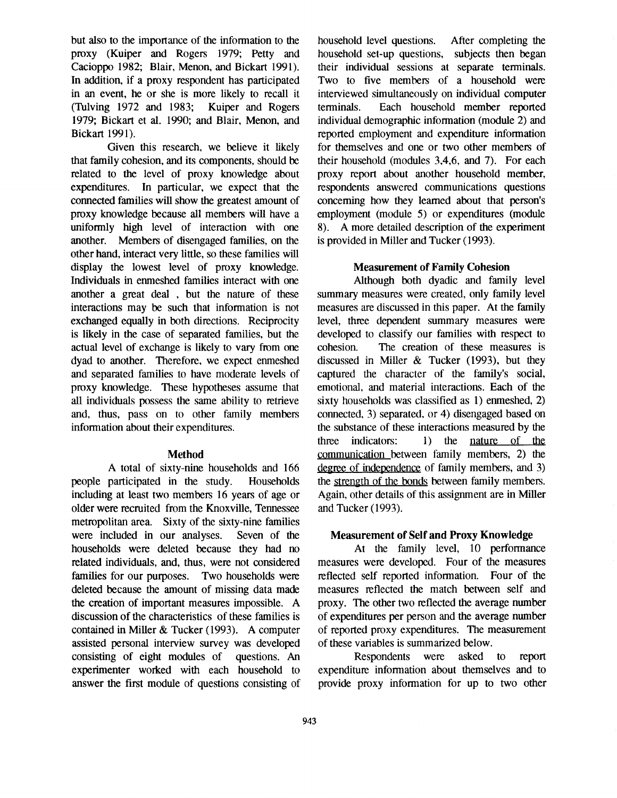but also to the importance of the information to the proxy (Kuiper and Rogers 1979; Petty and Cacioppo 1982; Blair, Menon, and Bickart 1991). In addition, if a proxy respondent has participated in an event, he or she is more likely to recall it (Tulving 1972 and 1983; Kuiper and Rogers 1979; Bickart et al. 1990; and Blair, Menon, and Bickart 1991).

Given this research, we believe it likely that family cohesion, and its components, should be related to the level of proxy knowledge about expenditures. In particular, we expect that the connected families will show the greatest amount of proxy knowledge because all members will have a uniformly high level of interaction with one another. Members of disengaged families, on the other hand, interact very little, so these families will display the lowest level of proxy knowledge. Individuals in enmeshed families interact with one another a great deal , but the nature of these interactions may be such that information is not exchanged equally in both directions. Reciprocity is likely in the case of separated families, but the actual level of exchange is likely to vary from one dyad to another. Therefore, we expect enmeshed and separated families to have moderate levels of proxy knowledge. These hypotheses assume that all individuals possess the same ability to retrieve and, thus, pass on to other family members information about their expenditures.

### **Method**

A total of sixty-nine households and 166 people participated in the study. Households including at least two members 16 years of age or older were recruited from the Knoxville, Tennessee metropolitan area. Sixty of the sixty-nine families were included in our analyses. Seven of the households were deleted because they had no related individuals, and, thus, were not considered families for our purposes. Two households were deleted because the amount of missing data made the creation of important measures impossible. A discussion of the characteristics of these families is contained in Miller & Tucker (1993). A computer assisted personal interview survey was developed consisting of eight modules of questions. An experimenter worked with each household to answer the first module of questions consisting of

household level questions. After completing the household set-up questions, subjects then began their individual sessions at separate terminals. Two to five members of a household were interviewed simultaneously on individual computer terminals. Each household member reported individual demographic information (module 2) and reported employment and expenditure information for themselves and one or two other members of their household (modules 3,4,6, and 7). For each proxy report about another household member, respondents answered communications questions conceming how they leamed about that person's employment (module 5) or expenditures (module 8). A more detailed description of the experiment is provided in Miller and Tucker (1993).

## **Measurement of Family Cohesion**

Although both dyadic and family level summary measures were created, only family level measures are discussed in this paper. At the family level, three dependent summary measures were developed to classify our families with respect to cohesion. The creation of these measures is discussed in Miller & Tucker (1993), but they captured the character of the family's social, emotional, and material interactions. Each of the sixty households was classified as 1) enmeshed, 2) connected, 3) separated, or 4) disengaged based on the substance of these interactions measured by the three indicators:  $1)$  the nature of the communication between family members, 2) the degree of independence of family members, and 3) the strength of the bonds between family members. Again, other details of this assignment are in Miller and Tucker (1993).

### **Measurement of Self and Proxy Knowledge**

At the family level, 10 performance measures were developed. Four of the measures reflected self reported information. Four of the measures reflected the match between self and proxy. The other two reflected the average number of expenditures per person and the average number of reported proxy expenditures. The measurement of these variables is summarized below.

Respondents were asked to report expenditure information about themselves and to provide proxy information for up to two other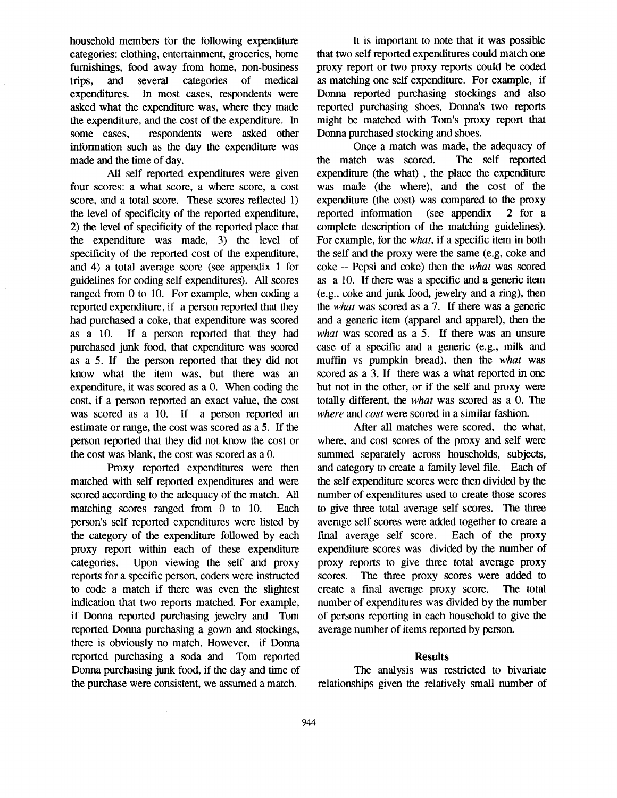household members for the following expenditure categories: clothing, entertainment, groceries, home fumishings, food away from home, non-business trips, and several categories of medical expenditures. In most cases, respondents were asked what the expenditure was, where they made the expenditure, and the cost of the expenditure. In some cases, respondents were asked other information such as the day the expenditure was made and the time of day.

All self reported expenditures were given four scores: a what score, a where score, a cost score, and a total score. These scores reflected 1) the level of specificity of the reported expenditure, 2) the level of specificity of the reported place that the expenditure was made, 3) the level of specificity of the reported cost of the expenditure, and 4) a total average score (see appendix 1 for guidelines for coding self expenditures). All scores ranged from 0 to 10. For example, when coding a reported expenditure, if a person reported that they had purchased a coke, that expenditure was scored as a 10. If a person reported that they had purchased junk food, that expenditure was scored as a 5. If the person reported that they did not know what the item was, but there was an expenditure, it was scored as a 0. When coding the cost, if a person reported an exact value, the cost was scored as a 10. If a person reported an estimate or range, the cost was scored as a 5. If the person reported that they did not know the cost or the cost was blank, the cost was scored as a 0.

Proxy reported expenditures were then matched with self reported expenditures and were scored according to the adequacy of the match. All matching scores ranged from 0 to 10. Each person's self reported expenditures were listed by the category of the expenditure followed by each proxy report within each of these expenditure categories. Upon viewing the self and proxy reports for a specific person, coders were instructed to code a match if there was even the slightest indication that two reports matched. For example, if Donna reported purchasing jewelry and Tom reported Donna purchasing a gown and stockings, there is obviously no match. However, if Donna reported purchasing a soda and Tom reported Donna purchasing junk food, if the day and time of the purchase were consistent, we assumed a match.

It is important to note that it was possible that two self reported expenditures could match one proxy report or two proxy reports could be coded as matching one self expenditure. For example, if Donna reported purchasing stockings and also reported purchasing shoes, Donna's two reports might be matched with Tom's proxy report that Donna purchased stocking and shoes.

Once a match was made, the adequacy of the match was scored. The self reported expenditure (the what), the place the expenditure was made (the where), and the cost of the expenditure (the cost) was compared to the proxy reported information (see appendix 2 for a complete description of the matching guidelines). For example, for the *what,* if a specific item in both the self and the proxy were the same (e.g, coke and coke -- Pepsi and coke) then the *what* was scored as a 10. If there was a specific and a generic item (e.g., coke and junk food, jewelry and a ring), then the *what* was scored as a 7. If there was a generic and a generic item (apparel and apparel), then the *what* was scored as a 5. If there was an unsure case of a specific and a generic (e.g., milk and muffin vs pumpkin bread), then the *what was*  scored as a 3. If there was a what reported in one but not in the other, or if the self and proxy were totally different, the *what* was scored as a 0. The *where and cost* were scored in a similar fashion.

After all matches were scored, the what, where, and cost scores of the proxy and self were summed separately across households, subjects, and category to create a family level file. Each of the self expenditure scores were then divided by the number of expenditures used to create those scores to give three total average self scores. The three average self scores were added together to create a final average self score. Each of the proxy expenditure scores was divided by the number of proxy reports to give three total average proxy scores. The three proxy scores were added to create a final average proxy score. The total number of expenditures was divided by the number of persons reporting in each household to give the average number of items reported by person.

### **Results**

The analysis was restricted to bivariate relationships given the relatively small number of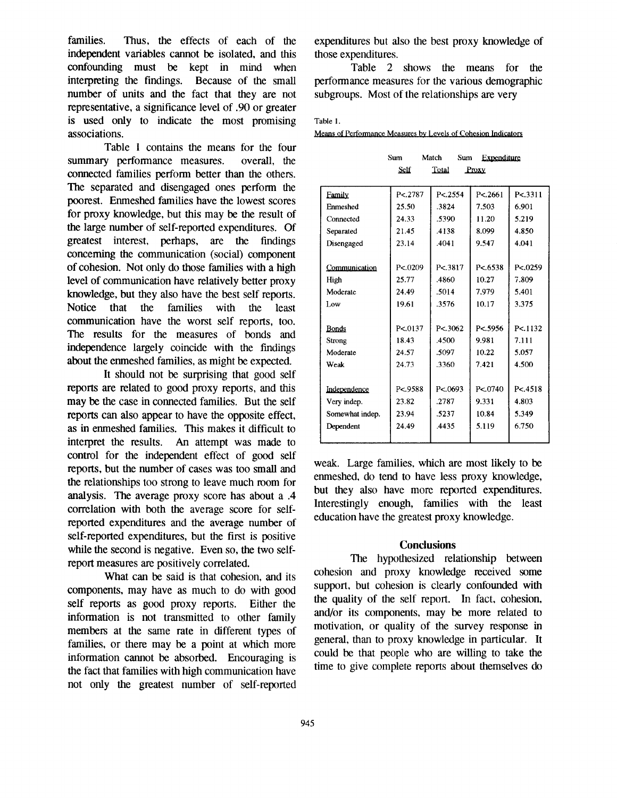families. Thus, the effects of each of the independent variables cannot be isolated, and this confounding must be kept in mind when interpreting the findings. Because of the small number of units and the fact that they are not representative, a significance level of .90 or greater is used only to indicate the most promising associations.

Table 1 contains the means for the four summary performance measures, overall, the connected families perform better than the others. The separated and disengaged ones perform the poorest. Enmeshed families have the lowest scores for proxy knowledge, but this may be the result of the large number of self-reported expenditures. Of greatest interest, perhaps, are the findings concerning the communication (social) component of cohesion. Not only do those families with a high level of communication have relatively better proxy knowledge, but they also have the best self reports. Notice that the families with the least communication have the worst self reports, too. The results for the measures of bonds and independence largely coincide with the findings about the enmeshed families, as might be expected.

It should not be surprising that good self reports are related to good proxy reports, and this may be the case in connected families. But the self reports can also appear to have the opposite effect, as in enmeshed families. This makes it difficult to interpret the results. An attempt was made to control for the independent effect of good self reports, but the number of cases was too small and the relationships too strong to leave much room for analysis. The average proxy score has about a .4 correlation with both the average score for selfreported expenditures and the average number of self-reported expenditures, but the first is positive while the second is negative. Even so, the two selfreport measures are positively correlated.

What can be said is that cohesion, and its components, may have as much to do with good self reports as good proxy reports. Either the information is not transmitted to other family members at the same rate in different types of families, or there may be a point at which more information cannot be absorbed. Encouraging is the fact that families with high communication have not only the greatest number of self-reported expenditures but also the best proxy knowledge of those expenditures.

Table 2 shows the means for the performance measures for the various demographic subgroups. Most of the relationships are very

#### Table 1.

Means of Performance Measures by Levels of Cohesion Indicators

|                 | Sum     | Match<br>Sum   | Expenditure |          |  |
|-----------------|---------|----------------|-------------|----------|--|
|                 | Self    | Total<br>Proxy |             |          |  |
|                 |         |                |             |          |  |
| Family          | P<.2787 | P < 2554       | P < 2661    | P < 3311 |  |
| Enmeshed        | 25.50   | 3824           | 7.503       | 6.901    |  |
| Connected       | 24.33   | .5390          | 11.20       | 5.219    |  |
| Separated       | 21.45   | .4138          | 8.099       | 4.850    |  |
| Disengaged      | 23.14   | .4041          | 9.547       | 4.041    |  |
|                 |         |                |             |          |  |
| Communication   | P<.0209 | P< 3817        | P<.6538     | P < 0259 |  |
| High            | 25.77   | .4860          | 10.27       | 7.809    |  |
| Moderate        | 24.49   | .5014          | 7.979       | 5.401    |  |
| Low             | 19.61   | 3576           | 10.17       | 3.375    |  |
|                 |         |                |             |          |  |
| <b>Bonds</b>    | P<.0137 | P < 3062       | P<.5956     | P<.1132  |  |
| Strong          | 18.43   | .4500          | 9.981       | 7.111    |  |
| Moderate        | 24.57   | .5097          | 10.22       | 5.057    |  |
| Weak            | 24.73   | .3360          | 7.421       | 4.500    |  |
|                 |         |                |             |          |  |
| Independence    | P<.9588 | P<.0693        | P<.0740     | P < 4518 |  |
| Very indep.     | 23.82   | .2787          | 9.331       | 4.803    |  |
| Somewhat indep. | 23.94   | .5237          | 10.84       | 5.349    |  |
| Dependent       | 24.49   | .4435          | 5.119       | 6.750    |  |
|                 |         |                |             |          |  |

weak. Large families, which are most likely to enmeshed, do tend to have less proxy knowledge, but they also have more reported expenditures. Interestingly enough, families with the least education have the greatest proxy knowledge.

#### **Conclusions**

The hypothesized relationship between cohesion and proxy knowledge received some support, but cohesion is clearly confounded with the quality of the self report. In fact, cohesion, and/or its components, may be more related to motivation, or quality of the survey response in general, than to proxy knowledge in particular. It could be that people who are willing to take the time to give complete reports about themselves do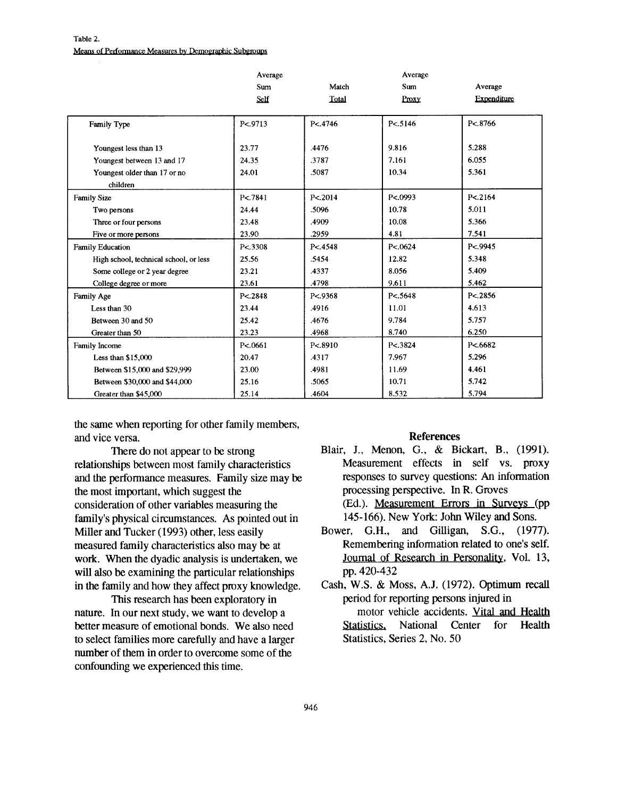#### **Table** 2. **Means of Performance Measures by Demographic Subgroups**

|                                        | Average             |          | Average  |             |
|----------------------------------------|---------------------|----------|----------|-------------|
|                                        | <b>Sum</b>          | Match    | Sum      | Average     |
|                                        | Self                | Total    | Proxy    | Expenditure |
|                                        |                     |          |          |             |
| Family Type                            | P <sub>5</sub> 9713 | P<.4746  | P < 5146 | P<.8766     |
|                                        |                     |          |          |             |
| Youngest less than 13                  | 23.77               | .4476    | 9.816    | 5.288       |
| Youngest between 13 and 17             | 24.35               | .3787    | 7.161    | 6.055       |
| Youngest older than 17 or no           | 24.01               | .5087    | 10.34    | 5.361       |
| children                               |                     |          |          |             |
| <b>Family Size</b>                     | P<.7841             | P < 2014 | P<.0993  | P < 2164    |
| Two persons                            | 24.44               | .5096    | 10.78    | 5.011       |
| Three or four persons                  | 23.48               | .4909    | 10.08    | 5.366       |
| Five or more persons                   | 23.90               | .2959    | 4.81     | 7.541       |
| <b>Family Education</b>                | P < 3308            | P < 4548 | P < 0624 | P < 9945    |
| High school, technical school, or less | 25.56               | .5454    | 12.82    | 5.348       |
| Some college or 2 year degree          | 23.21               | .4337    | 8.056    | 5.409       |
| College degree or more                 | 23.61               | .4798    | 9.611    | 5.462       |
| Family Age                             | P < 2848            | P<.9368  | P<.5648  | P < 2856    |
| Less than 30                           | 23.44               | .4916    | 11.01    | 4.613       |
| Between 30 and 50                      | 25.42               | .4676    | 9.784    | 5.757       |
| Greater than 50                        | 23.23               | .4968    | 8.740    | 6.250       |
| Family Income                          | P < 0661            | P < 8910 | P<.3824  | P < 6682    |
| Less than $$15,000$                    | 20.47               | .4317    | 7.967    | 5.296       |
| Between \$15,000 and \$29,999          | 23.00               | .4981    | 11.69    | 4.461       |
| Between \$30,000 and \$44,000          | 25.16               | .5065    | 10.71    | 5.742       |
| Greater than \$45,000                  | 25.14               | .4604    | 8.532    | 5.794       |

**the same when reporting for other family members, and vice versa.** 

There do not appear to be strong **relationships between most family characteristics and the performance measures. Family size may be the most important, which suggest the consideration of other variables measuring the family's physical circumstances. As pointed out in Miller and Tucker (1993) other, less easily measured family characteristics also may be at work. When the dyadic analysis is undertaken, we will also be examining the particular relationships in the family and how they affect proxy knowledge.** 

**This research has been exploratory in nature. In our next study, we want to develop a better measure of emotional bonds. We also need to select families more carefully and have a larger number of them in order to overcome some of the confounding we experienced this time.** 

## **References**

**Blair, J., Menon, G., & Bickart, B., (1991). Measurement effects in self vs. proxy responses to survey questions: An information processing perspective. In R. Groves (Ed.). Measurement Errgrs in Surveys (pp** 

**145-166). New York: John Wiley and Sons.** 

- **Bower, G.H., and Gilligan, S.G., (1977). Remembering information related to one's self. Joumal of Research in Personality, Vol.** 13, **pp.** 420-432
- **Cash, W.S. & Moss, A.J. (1972). Optimum recall period for reporting persons injured in motor vehicle accidents. Vital and Health Statistics, National Center for Health Statistics, Series 2, No. 50**